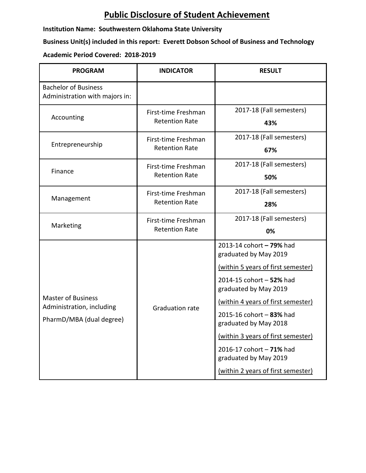## **Public Disclosure of Student Achievement**

**Institution Name: Southwestern Oklahoma State University**

**Business Unit(s) included in this report: Everett Dobson School of Business and Technology**

## **Academic Period Covered: 2018-2019**

| <b>PROGRAM</b>                                                                     | <b>INDICATOR</b>                             | <b>RESULT</b>                                                                                                                                                                                                                                                                                                                                                            |
|------------------------------------------------------------------------------------|----------------------------------------------|--------------------------------------------------------------------------------------------------------------------------------------------------------------------------------------------------------------------------------------------------------------------------------------------------------------------------------------------------------------------------|
| <b>Bachelor of Business</b><br>Administration with majors in:                      |                                              |                                                                                                                                                                                                                                                                                                                                                                          |
| Accounting                                                                         | First-time Freshman<br><b>Retention Rate</b> | 2017-18 (Fall semesters)<br>43%                                                                                                                                                                                                                                                                                                                                          |
| Entrepreneurship                                                                   | First-time Freshman<br><b>Retention Rate</b> | 2017-18 (Fall semesters)<br>67%                                                                                                                                                                                                                                                                                                                                          |
| Finance                                                                            | First-time Freshman<br><b>Retention Rate</b> | 2017-18 (Fall semesters)<br>50%                                                                                                                                                                                                                                                                                                                                          |
| Management                                                                         | First-time Freshman<br><b>Retention Rate</b> | 2017-18 (Fall semesters)<br>28%                                                                                                                                                                                                                                                                                                                                          |
| Marketing                                                                          | First-time Freshman<br><b>Retention Rate</b> | 2017-18 (Fall semesters)<br>0%                                                                                                                                                                                                                                                                                                                                           |
| <b>Master of Business</b><br>Administration, including<br>PharmD/MBA (dual degree) | <b>Graduation rate</b>                       | 2013-14 cohort - 79% had<br>graduated by May 2019<br>(within 5 years of first semester)<br>2014-15 cohort - 52% had<br>graduated by May 2019<br>(within 4 years of first semester)<br>2015-16 cohort - 83% had<br>graduated by May 2018<br>(within 3 years of first semester)<br>2016-17 cohort - 71% had<br>graduated by May 2019<br>(within 2 years of first semester) |